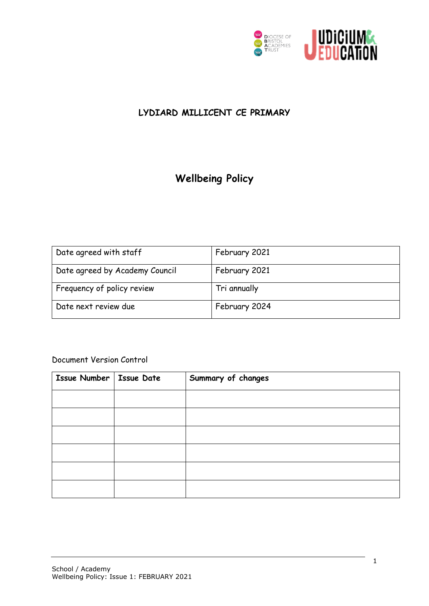

### **LYDIARD MILLICENT CE PRIMARY**

## **Wellbeing Policy**

| Date agreed with staff         | February 2021 |
|--------------------------------|---------------|
| Date agreed by Academy Council | February 2021 |
| Frequency of policy review     | Tri annually  |
| Date next review due           | February 2024 |

#### Document Version Control

| Issue Number   Issue Date | Summary of changes |
|---------------------------|--------------------|
|                           |                    |
|                           |                    |
|                           |                    |
|                           |                    |
|                           |                    |
|                           |                    |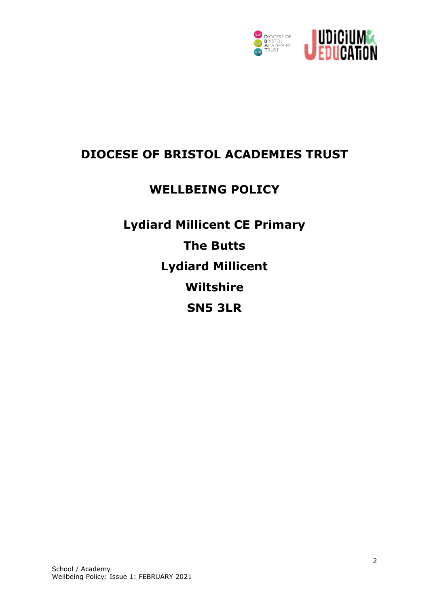

## **DIOCESE OF BRISTOL ACADEMIES TRUST**

# **WELLBEING POLICY**

**Lydiard Millicent CE Primary The Butts Lydiard Millicent Wiltshire SN5 3LR**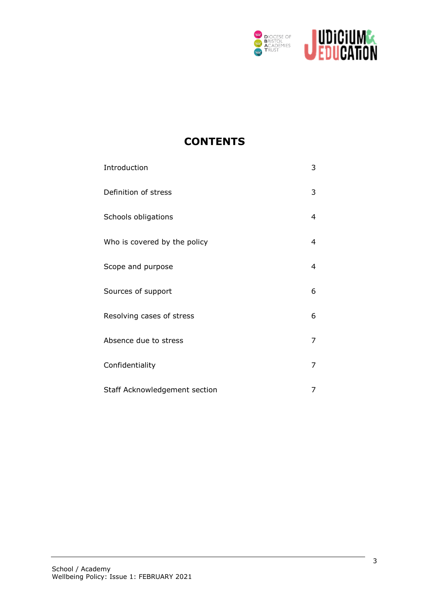

### **CONTENTS**

| Introduction                  | 3 |
|-------------------------------|---|
| Definition of stress          | 3 |
| Schools obligations           | 4 |
| Who is covered by the policy  | 4 |
| Scope and purpose             | 4 |
| Sources of support            | 6 |
| Resolving cases of stress     | 6 |
| Absence due to stress         | 7 |
| Confidentiality               | 7 |
| Staff Acknowledgement section | 7 |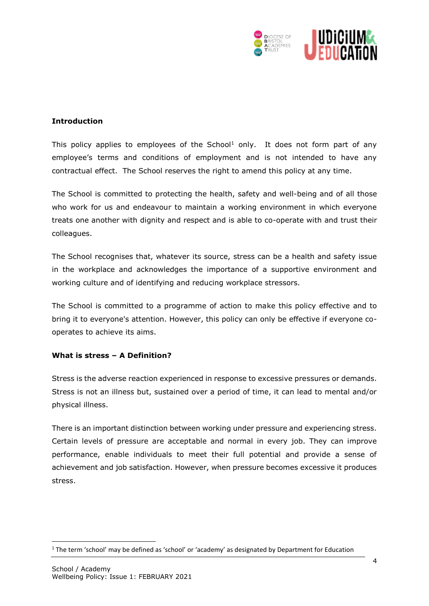

#### **Introduction**

This policy applies to employees of the School<sup>1</sup> only. It does not form part of any employee's terms and conditions of employment and is not intended to have any contractual effect. The School reserves the right to amend this policy at any time.

The School is committed to protecting the health, safety and well-being and of all those who work for us and endeavour to maintain a working environment in which everyone treats one another with dignity and respect and is able to co-operate with and trust their colleagues.

The School recognises that, whatever its source, stress can be a health and safety issue in the workplace and acknowledges the importance of a supportive environment and working culture and of identifying and reducing workplace stressors.

The School is committed to a programme of action to make this policy effective and to bring it to everyone's attention. However, this policy can only be effective if everyone cooperates to achieve its aims.

#### **What is stress – A Definition?**

Stress is the adverse reaction experienced in response to excessive pressures or demands. Stress is not an illness but, sustained over a period of time, it can lead to mental and/or physical illness.

There is an important distinction between working under pressure and experiencing stress. Certain levels of pressure are acceptable and normal in every job. They can improve performance, enable individuals to meet their full potential and provide a sense of achievement and job satisfaction. However, when pressure becomes excessive it produces stress.

**.** 

 $1$  The term 'school' may be defined as 'school' or 'academy' as designated by Department for Education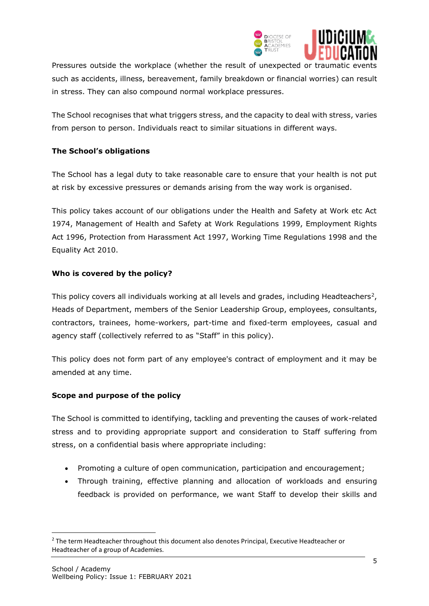

Pressures outside the workplace (whether the result of unexpected or traumatic events such as accidents, illness, bereavement, family breakdown or financial worries) can result in stress. They can also compound normal workplace pressures.

The School recognises that what triggers stress, and the capacity to deal with stress, varies from person to person. Individuals react to similar situations in different ways.

#### **The School's obligations**

The School has a legal duty to take reasonable care to ensure that your health is not put at risk by excessive pressures or demands arising from the way work is organised.

This policy takes account of our obligations under the Health and Safety at Work etc Act 1974, Management of Health and Safety at Work Regulations 1999, Employment Rights Act 1996, Protection from Harassment Act 1997, Working Time Regulations 1998 and the Equality Act 2010.

#### **Who is covered by the policy?**

This policy covers all individuals working at all levels and grades, including Headteachers<sup>2</sup>, Heads of Department, members of the Senior Leadership Group, employees, consultants, contractors, trainees, home-workers, part-time and fixed-term employees, casual and agency staff (collectively referred to as "Staff" in this policy).

This policy does not form part of any employee's contract of employment and it may be amended at any time.

#### **Scope and purpose of the policy**

The School is committed to identifying, tackling and preventing the causes of work-related stress and to providing appropriate support and consideration to Staff suffering from stress, on a confidential basis where appropriate including:

- Promoting a culture of open communication, participation and encouragement;
- Through training, effective planning and allocation of workloads and ensuring feedback is provided on performance, we want Staff to develop their skills and

**.** 

<sup>&</sup>lt;sup>2</sup> The term Headteacher throughout this document also denotes Principal, Executive Headteacher or Headteacher of a group of Academies.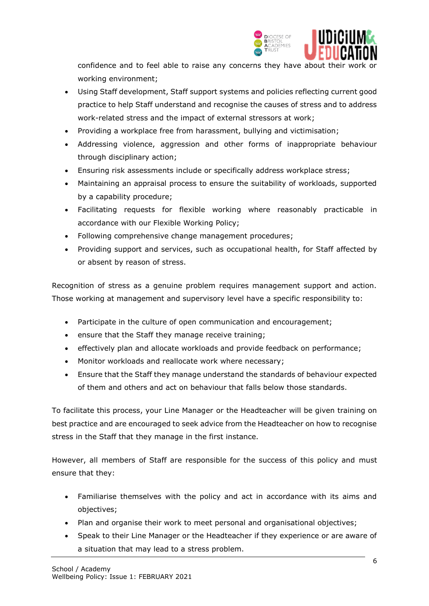

confidence and to feel able to raise any concerns they have about their work or working environment;

- Using Staff development, Staff support systems and policies reflecting current good practice to help Staff understand and recognise the causes of stress and to address work-related stress and the impact of external stressors at work;
- Providing a workplace free from harassment, bullying and victimisation;
- Addressing violence, aggression and other forms of inappropriate behaviour through disciplinary action;
- Ensuring risk assessments include or specifically address workplace stress;
- Maintaining an appraisal process to ensure the suitability of workloads, supported by a capability procedure;
- Facilitating requests for flexible working where reasonably practicable in accordance with our Flexible Working Policy;
- Following comprehensive change management procedures;
- Providing support and services, such as occupational health, for Staff affected by or absent by reason of stress.

Recognition of stress as a genuine problem requires management support and action. Those working at management and supervisory level have a specific responsibility to:

- Participate in the culture of open communication and encouragement;
- ensure that the Staff they manage receive training;
- effectively plan and allocate workloads and provide feedback on performance;
- Monitor workloads and reallocate work where necessary;
- Ensure that the Staff they manage understand the standards of behaviour expected of them and others and act on behaviour that falls below those standards.

To facilitate this process, your Line Manager or the Headteacher will be given training on best practice and are encouraged to seek advice from the Headteacher on how to recognise stress in the Staff that they manage in the first instance.

However, all members of Staff are responsible for the success of this policy and must ensure that they:

- Familiarise themselves with the policy and act in accordance with its aims and objectives;
- Plan and organise their work to meet personal and organisational objectives;
- Speak to their Line Manager or the Headteacher if they experience or are aware of a situation that may lead to a stress problem.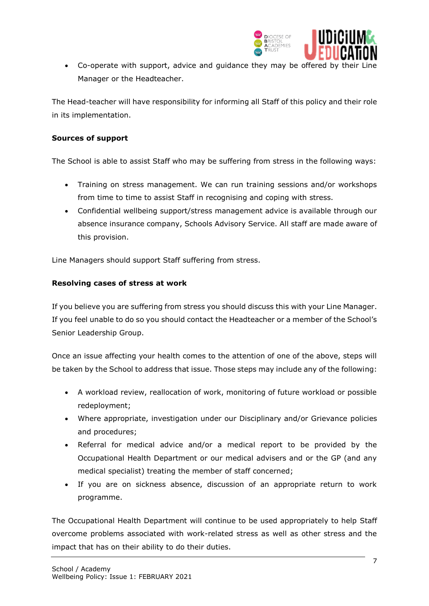

J Co-operate with support, advice and guidance they may be offered by their Line Manager or the Headteacher.

The Head-teacher will have responsibility for informing all Staff of this policy and their role in its implementation.

#### **Sources of support**

The School is able to assist Staff who may be suffering from stress in the following ways:

- Training on stress management. We can run training sessions and/or workshops from time to time to assist Staff in recognising and coping with stress.
- Confidential wellbeing support/stress management advice is available through our absence insurance company, Schools Advisory Service. All staff are made aware of this provision.

Line Managers should support Staff suffering from stress.

#### **Resolving cases of stress at work**

If you believe you are suffering from stress you should discuss this with your Line Manager. If you feel unable to do so you should contact the Headteacher or a member of the School's Senior Leadership Group.

Once an issue affecting your health comes to the attention of one of the above, steps will be taken by the School to address that issue. Those steps may include any of the following:

- A workload review, reallocation of work, monitoring of future workload or possible redeployment;
- Where appropriate, investigation under our Disciplinary and/or Grievance policies and procedures;
- Referral for medical advice and/or a medical report to be provided by the Occupational Health Department or our medical advisers and or the GP (and any medical specialist) treating the member of staff concerned;
- If you are on sickness absence, discussion of an appropriate return to work programme.

The Occupational Health Department will continue to be used appropriately to help Staff overcome problems associated with work-related stress as well as other stress and the impact that has on their ability to do their duties.